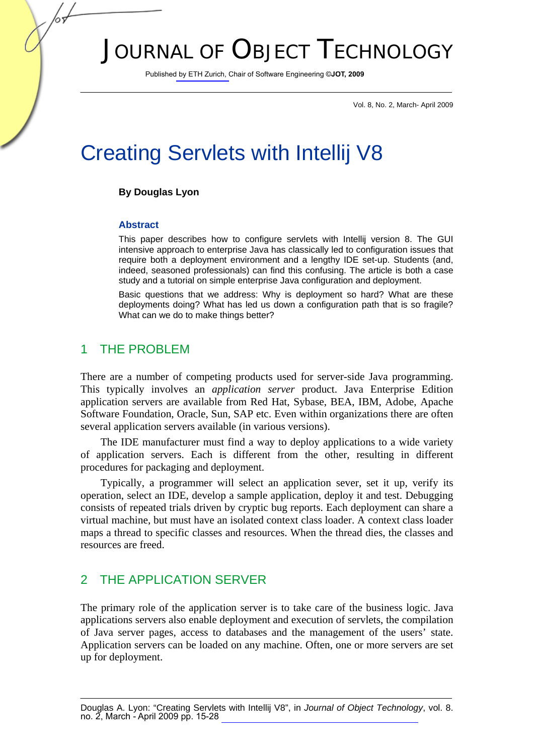# JOURNAL OF OBJECT TECHNOLOGY

Published by ETH Zurich, Chair of Software Engineering ©**JOT, 2009**

Vol. 8, No. 2, March- April 2009

# Creating Servlets with Intellij V8

### **By Douglas Lyon**

#### **Abstract**

This paper describes how to configure servlets with Intellij version 8. The GUI intensive approach to enterprise Java has classically led to configuration issues that require both a deployment environment and a lengthy IDE set-up. Students (and, indeed, seasoned professionals) can find this confusing. The article is both a case study and a tutorial on simple enterprise Java configuration and deployment.

Basic questions that we address: Why is deployment so hard? What are these deployments doing? What has led us down a configuration path that is so fragile? What can we do to make things better?

## 1 THE PROBLEM

There are a number of competing products used for server-side Java programming. This typically involves an *application server* product. Java Enterprise Edition application servers are available from Red Hat, Sybase, BEA, IBM, Adobe, Apache Software Foundation, Oracle, Sun, SAP etc. Even within organizations there are often several application servers available (in various versions).

The IDE manufacturer must find a way to deploy applications to a wide variety of application servers. Each is different from the other, resulting in different procedures for packaging and deployment.

Typically, a programmer will select an application sever, set it up, verify its operation, select an IDE, develop a sample application, deploy it and test. Debugging consists of repeated trials driven by cryptic bug reports. Each deployment can share a virtual machine, but must have an isolated context class loader. A context class loader maps a thread to specific classes and resources. When the thread dies, the classes and resources are freed.

## 2 THE APPLICATION SERVER

The primary role of the application server is to take care of the business logic. Java applications servers also enable deployment and execution of servlets, the compilation of Java server pages, access to databases and the management of the users' state. Application servers can be loaded on any machine. Often, one or more servers are set up for deployment.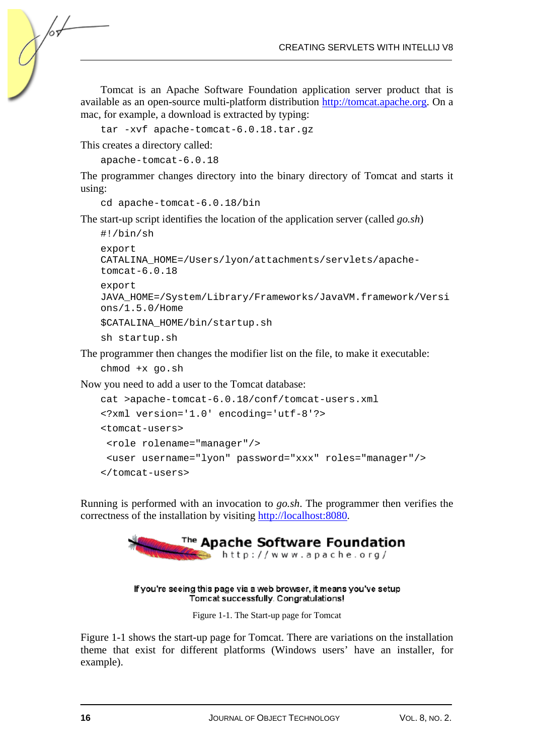Tomcat is an Apache Software Foundation application server product that is available as an open-source multi-platform distribution http://tomcat.apache.org. On a mac, for example, a download is extracted by typing:

```
tar -xvf apache-tomcat-6.0.18.tar.gz
```
This creates a directory called:

for-

```
apache-tomcat-6.0.18
```
The programmer changes directory into the binary directory of Tomcat and starts it using:

```
cd apache-tomcat-6.0.18/bin
```
The start-up script identifies the location of the application server (called *go.sh*)

```
#!/bin/sh 
export 
CATALINA_HOME=/Users/lyon/attachments/servlets/apache-
tomcat-6.0.18 
export 
JAVA_HOME=/System/Library/Frameworks/JavaVM.framework/Versi
ons/1.5.0/Home 
$CATALINA_HOME/bin/startup.sh 
sh startup.sh
```
The programmer then changes the modifier list on the file, to make it executable:

```
chmod +x go.sh
```
Now you need to add a user to the Tomcat database:

```
cat >apache-tomcat-6.0.18/conf/tomcat-users.xml 
<?xml version='1.0' encoding='utf-8'?> 
<tomcat-users> 
 <role rolename="manager"/> 
  <user username="lyon" password="xxx" roles="manager"/> 
</tomcat-users>
```
Running is performed with an invocation to *go.sh*. The programmer then verifies the correctness of the installation by visiting http://localhost:8080.



#### If you're seeing this page via a web browser, it means you've setup Tomcat successfully. Congratulations!

Figure 1-1. The Start-up page for Tomcat

Figure 1-1 shows the start-up page for Tomcat. There are variations on the installation theme that exist for different platforms (Windows users' have an installer, for example).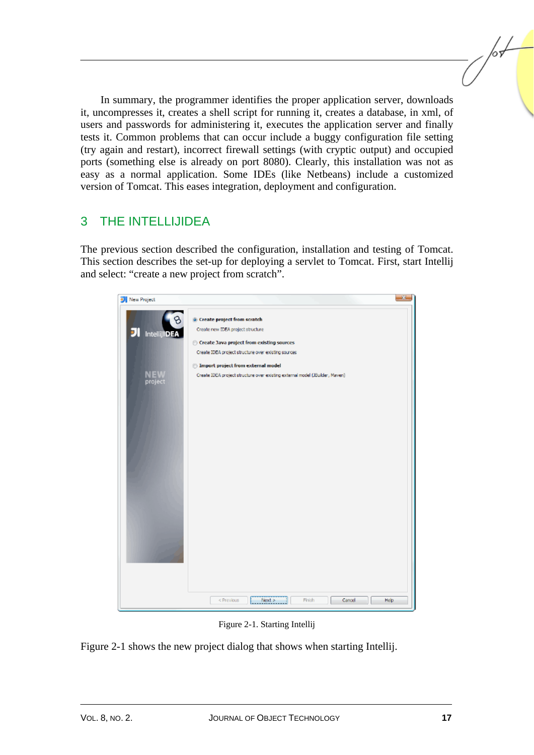In summary, the programmer identifies the proper application server, downloads it, uncompresses it, creates a shell script for running it, creates a database, in xml, of users and passwords for administering it, executes the application server and finally tests it. Common problems that can occur include a buggy configuration file setting (try again and restart), incorrect firewall settings (with cryptic output) and occupied ports (something else is already on port 8080). Clearly, this installation was not as easy as a normal application. Some IDEs (like Netbeans) include a customized version of Tomcat. This eases integration, deployment and configuration.

# 3 THE INTELLIJIDEA

The previous section described the configuration, installation and testing of Tomcat. This section describes the set-up for deploying a servlet to Tomcat. First, start Intellij and select: "create a new project from scratch".



Figure 2-1. Starting Intellij

Figure 2-1 shows the new project dialog that shows when starting Intellij.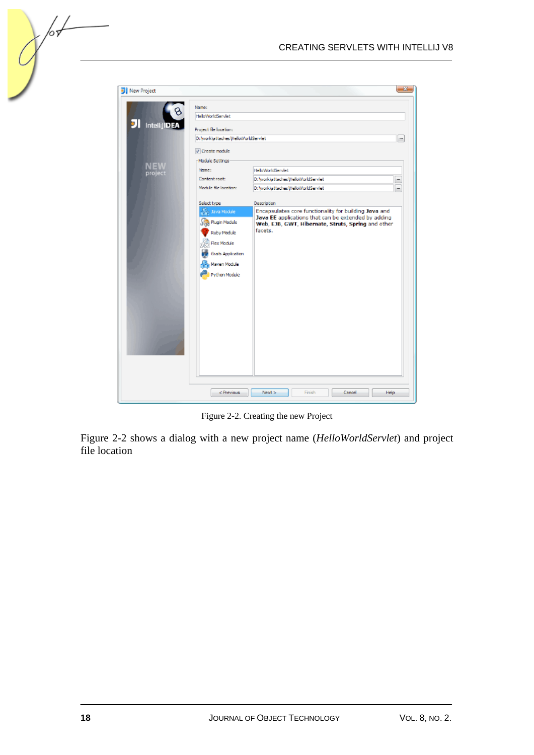

Figure 2-2. Creating the new Project

Figure 2-2 shows a dialog with a new project name (*HelloWorldServlet*) and project file location

/оъ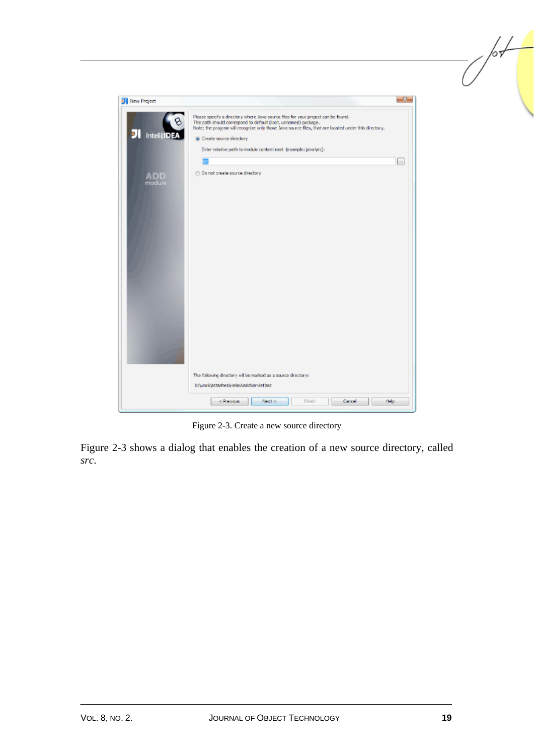

Figure 2-3. Create a new source directory

Figure 2-3 shows a dialog that enables the creation of a new source directory, called *src*.

 $\sqrt{\frac{1}{2}}$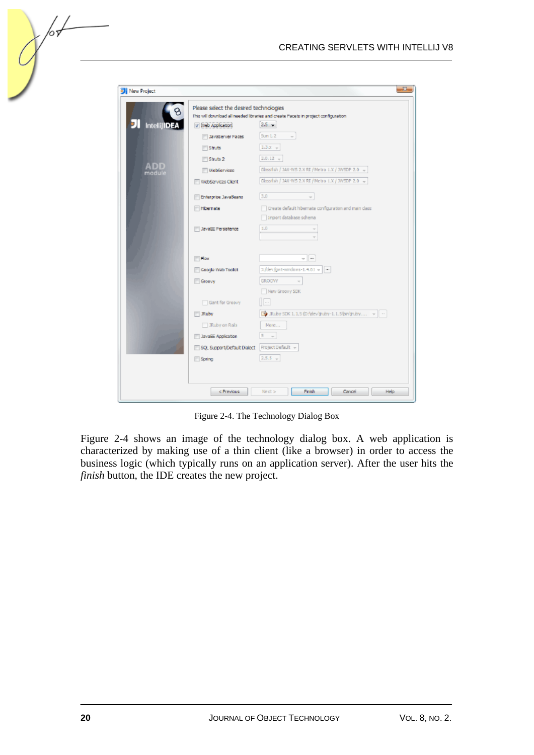| <b>J</b> New Project |                                               | 23                                                                                 |
|----------------------|-----------------------------------------------|------------------------------------------------------------------------------------|
|                      | Please select the desired technologies        |                                                                                    |
|                      |                                               | This will download all needed libraries and create Pacets in project configuration |
| <b>IntellijIDEA</b>  | V Web Application                             | $2.5 -$                                                                            |
|                      | I JavaServer Faces                            | Sun 1.2<br>÷.                                                                      |
|                      | <b>Struts</b>                                 | $1.3x +$                                                                           |
|                      | Struts 2                                      | $2.0.12 -$                                                                         |
| <b>ADD</b><br>module | WebServices                                   | Glassfish / JAX-WS 2.X RI / Metro 1.X / JWSDP 2.0 ~                                |
|                      | WebServices Client                            | Glassfish / JAX-WS 2.X RI / Metro 1.X / JWSDP 2.0 ~                                |
|                      | Enterprise JavaBeans                          | 3.0<br>$\sim$                                                                      |
|                      | <b>Informate</b>                              | Create default hibernate configuration and main class                              |
|                      |                                               | Import database schema                                                             |
|                      | JavaEE Persistence                            | 1.0                                                                                |
|                      |                                               |                                                                                    |
|                      | Flex                                          | $ -$                                                                               |
|                      | Google Web Tooldt                             | >/dev/gwt-windows-1.4.61 =   --                                                    |
|                      | Groovy                                        | <b>GROOWY</b>                                                                      |
|                      |                                               | New Groovy SDK                                                                     |
|                      | Gant for Groovy                               | $\overline{\phantom{a}}$                                                           |
|                      | <b>IRuby</b>                                  | For JRuby SDK 1.1.5 (D:\dev\truby-1.1.5\bin\truby ~ ~                              |
|                      | JRuby on Rails                                | More                                                                               |
|                      | <b>JavaEE Application</b>                     | $5 - \pi$                                                                          |
|                      | SQL Support/Default Dialect Project Default > |                                                                                    |
|                      | Spring                                        | $2.5.5 - v$                                                                        |
|                      |                                               |                                                                                    |
|                      |                                               |                                                                                    |
|                      | < Previous                                    | Finish<br>Help<br>Next ><br>Cancel                                                 |

Figure 2-4. The Technology Dialog Box

Figure 2-4 shows an image of the technology dialog box. A web application is characterized by making use of a thin client (like a browser) in order to access the business logic (which typically runs on an application server). After the user hits the *finish* button, the IDE creates the new project.

/оъ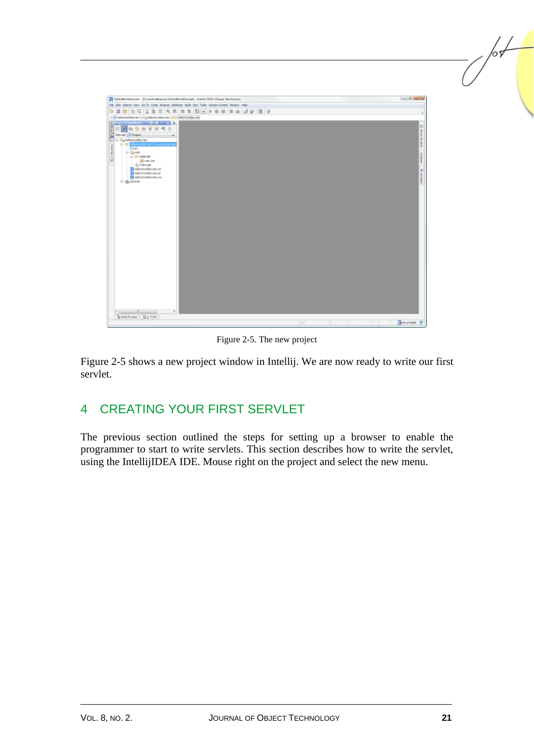

Figure 2-5. The new project

Figure 2-5 shows a new project window in Intellij. We are now ready to write our first servlet.

# 4 CREATING YOUR FIRST SERVLET

The previous section outlined the steps for setting up a browser to enable the programmer to start to write servlets. This section describes how to write the servlet, using the IntellijIDEA IDE. Mouse right on the project and select the new menu.

/or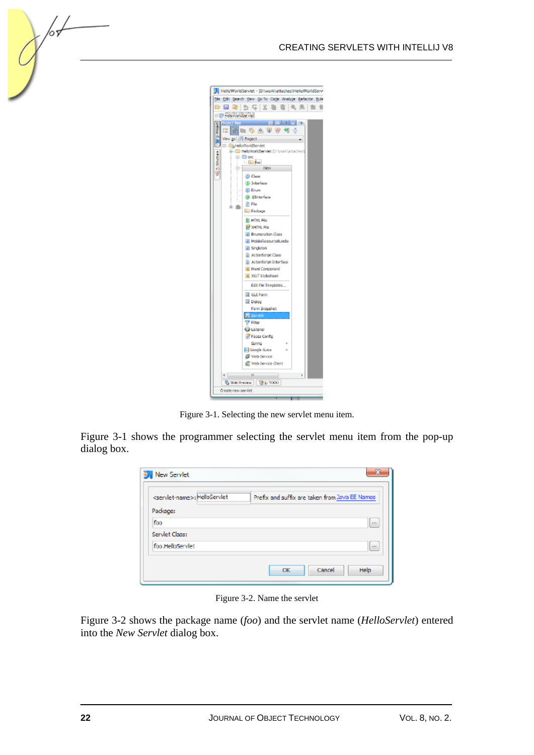

Figure 3-1. Selecting the new servlet menu item.

Figure 3-1 shows the programmer selecting the servlet menu item from the pop-up dialog box.

| <servlet-name>: HelloServlet</servlet-name> | Prefix and suffix are taken from Java EE Names |
|---------------------------------------------|------------------------------------------------|
| Package:                                    |                                                |
| foo                                         | $\cdots$                                       |
| Servlet Class:                              |                                                |
| foo.HelloServlet                            | $\cdots$                                       |

Figure 3-2. Name the servlet

Figure 3-2 shows the package name (*foo*) and the servlet name (*HelloServlet*) entered into the *New Servlet* dialog box.

 $\sqrt{\sigma}$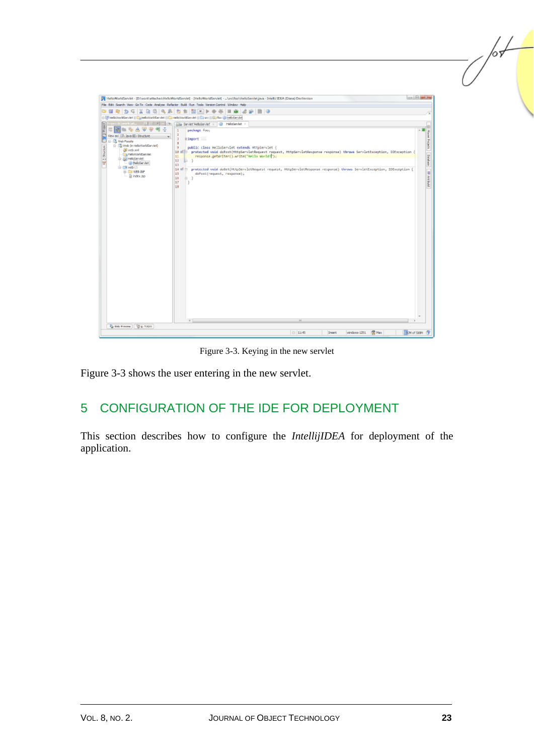| HelioWorldServlet - [D/work\uttached\HelioWorldServlet] - [HelioWorldServlet] - _Jurc/fao\HelioServlet.java - IntellUIDEA (Diana) DevVersion                                                                                                                                                                                                                                                                                                                                                                                                                                                                                                                                                                                                                                                                                                                                                                       | la Bi <del>stri</del>                    |
|--------------------------------------------------------------------------------------------------------------------------------------------------------------------------------------------------------------------------------------------------------------------------------------------------------------------------------------------------------------------------------------------------------------------------------------------------------------------------------------------------------------------------------------------------------------------------------------------------------------------------------------------------------------------------------------------------------------------------------------------------------------------------------------------------------------------------------------------------------------------------------------------------------------------|------------------------------------------|
| File Edit Search Werv Go To Cade Analyse Refactor Build Run Toda Version-Cantrol Window Help                                                                                                                                                                                                                                                                                                                                                                                                                                                                                                                                                                                                                                                                                                                                                                                                                       |                                          |
| B G<br>☞<br>$-12$<br>æ.<br>$\mathcal{D}_{\mathcal{D}}$<br>G<br>ы<br>o.<br>0.36<br>171                                                                                                                                                                                                                                                                                                                                                                                                                                                                                                                                                                                                                                                                                                                                                                                                                              |                                          |
| HelpWorldGerviet E Elianc Elian foo @ HelpServiet<br>E Bi-kellsWorldServlet E Cal-kelloWorldServlet                                                                                                                                                                                                                                                                                                                                                                                                                                                                                                                                                                                                                                                                                                                                                                                                                |                                          |
| $\vert x \vert$<br><b>Silla Serviet HelpServier</b><br>$-10+$<br>(2) HelioServlet ><br>亳<br>peckage foot<br>$\overline{2}$<br>Vew as: [iii] Java EE : Structure<br><b>Himport</b><br><b>ED-12</b> Web Paceta<br>$\overline{3}$<br>- B Web (in HelioWorldServiet)<br>2. Southern<br>$\theta$<br>public class HelloServlet extends HttpServlet (<br><b>B</b> vehand<br>18 W/F protected void doPost(HttpServletRequest request, HttpServletResponse response) throws ServletException, IOException<br><b>ChildWorldServiet</b><br>response.getWriter().write("Wello.World!");<br>11<br>G-Bill HeloServlet<br>12<br>13.3<br>₩<br>- (@ HelbServlet)<br>13<br>白-DB web (/)<br>14 W ft. protected void dotet(HttpServletRequest.request, HttpServletResponse.response).thrown.ServletException, IOException.(<br>is- Cla wes-are<br>15<br>doPost(request, response);<br>$ \frac{1}{20}$ index 30<br>15<br>a.<br>17<br>18 | Naver<br>Project: Dirichael (19 Ani Quid |
|                                                                                                                                                                                                                                                                                                                                                                                                                                                                                                                                                                                                                                                                                                                                                                                                                                                                                                                    |                                          |
| 4                                                                                                                                                                                                                                                                                                                                                                                                                                                                                                                                                                                                                                                                                                                                                                                                                                                                                                                  |                                          |
| & MA Review   @ st TUDO<br>景点<br><b>8 11:45</b><br><b>Iranet</b><br>windows-1251                                                                                                                                                                                                                                                                                                                                                                                                                                                                                                                                                                                                                                                                                                                                                                                                                                   | 92N of 539N                              |

Figure 3-3. Keying in the new servlet

Figure 3-3 shows the user entering in the new servlet.

# 5 CONFIGURATION OF THE IDE FOR DEPLOYMENT

This section describes how to configure the *IntellijIDEA* for deployment of the application.

 $\mathbb{Z}$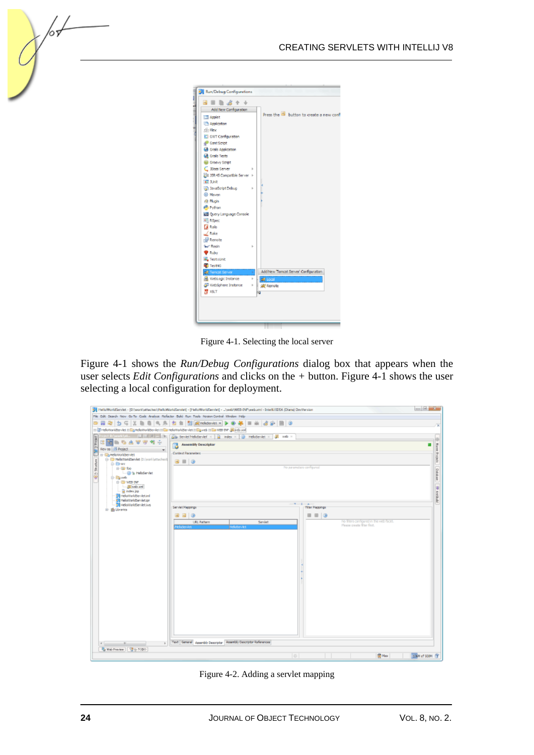| <b>B B &amp; + +</b>             |       |                                          |
|----------------------------------|-------|------------------------------------------|
| Add New Comfiguration            |       | Press the 15 button to create a new conf |
| Applet                           |       |                                          |
| <b>The Application</b>           |       |                                          |
| de Flor                          |       |                                          |
| GI GWT Configuration             |       |                                          |
| Gant Script                      |       |                                          |
| <b>GR</b> Grafs Application      |       |                                          |
| <b>Grals Tests</b>               |       |                                          |
| <b>B</b> Groovy Script           |       |                                          |
| C. Boss Server                   |       |                                          |
| Ha JSR 45 Concertble Server +    |       |                                          |
| 46 Junit                         |       |                                          |
| an JavaScript Debug              | r     |                                          |
| <b>ED</b> Maven                  |       |                                          |
| <b>G. Plugin</b>                 |       |                                          |
| <b>Python</b>                    |       |                                          |
| <b>DI</b> Query Language Console |       |                                          |
| 4 <sup>1</sup> RSpec             |       |                                          |
| <b>Ca</b> Rais                   |       |                                          |
| $\angle$ Rake                    |       |                                          |
| Renote                           |       |                                          |
| <b>We' Regin</b>                 | ь     |                                          |
| <b>O</b> Ruby                    |       |                                          |
| <b>S.</b> Testuunit              |       |                                          |
| <b>E TestVS</b>                  |       |                                          |
| <b>All Tomcat Server</b>         | $\mu$ | Add New Tomcat Server' Configuration     |
| <b>R</b> WebLogic Instance       | ŀ     | all Local                                |
| WebSphere Instance               |       |                                          |
| 牌 xstT                           | r     | skill Remote                             |
|                                  |       |                                          |

Figure 4-1. Selecting the local server

Figure 4-1 shows the *Run/Debug Configurations* dialog box that appears when the user selects *Edit Configurations* and clicks on the *+* button. Figure 4-1 shows the user selecting a local configuration for deployment.

| 3 HelioWorldServlet - (D. work) attacher) HelioWorldServlet] - (HelioWorldServlet] -  \/web/WEB-DiP\/web.xml - Intelli/ IDEA (Diana) DevVersion |                                                                      | $\frac{1}{2} \left( \frac{1}{2} \right) \left( \frac{1}{2} \right) \left( \frac{1}{2} \right) \left( \frac{1}{2} \right) \left( \frac{1}{2} \right) \left( \frac{1}{2} \right) \left( \frac{1}{2} \right) \left( \frac{1}{2} \right) \left( \frac{1}{2} \right) \left( \frac{1}{2} \right) \left( \frac{1}{2} \right) \left( \frac{1}{2} \right) \left( \frac{1}{2} \right) \left( \frac{1}{2} \right) \left( \frac{1}{2} \right) \left( \frac{1}{2} \right) \left( \frac$ |
|-------------------------------------------------------------------------------------------------------------------------------------------------|----------------------------------------------------------------------|----------------------------------------------------------------------------------------------------------------------------------------------------------------------------------------------------------------------------------------------------------------------------------------------------------------------------------------------------------------------------------------------------------------------------------------------------------------------------|
| File Odit Search New Go-To Code Analyze Refactor Build Run Toplo Region-Control Window Help                                                     |                                                                      |                                                                                                                                                                                                                                                                                                                                                                                                                                                                            |
|                                                                                                                                                 |                                                                      |                                                                                                                                                                                                                                                                                                                                                                                                                                                                            |
| m ill nelworldte viet in Egnelworldteniet milla nelworldte viet millig vel: in Ela witt the gal web onl                                         |                                                                      |                                                                                                                                                                                                                                                                                                                                                                                                                                                                            |
| $ 1 $ $ 1 $ $ 3 $ $ 1 $ $ 4 $<br>ally Servert HelioServlet x   a   Index x   @   HelioServlet x   a   India x                                   |                                                                      |                                                                                                                                                                                                                                                                                                                                                                                                                                                                            |
| <b>PAGE</b><br>s<br><b>Assembly Descriptor</b>                                                                                                  |                                                                      | Ŧ<br>×                                                                                                                                                                                                                                                                                                                                                                                                                                                                     |
| New as   IT! Project<br>ы                                                                                                                       |                                                                      |                                                                                                                                                                                                                                                                                                                                                                                                                                                                            |
| Context Parameters<br>E-Chelonoldsever<br>G-ID HelsWorldServlet (D: work lattaches)                                                             |                                                                      | Frajedo                                                                                                                                                                                                                                                                                                                                                                                                                                                                    |
| Shuthan<br>$3 = 0$<br><b>D-Braz</b>                                                                                                             |                                                                      |                                                                                                                                                                                                                                                                                                                                                                                                                                                                            |
| th-Six foo<br>-@ a HelsServiet                                                                                                                  | No paremeters configured                                             |                                                                                                                                                                                                                                                                                                                                                                                                                                                                            |
| (C)<br><b>B-Rayweb</b>                                                                                                                          |                                                                      | Dutabat                                                                                                                                                                                                                                                                                                                                                                                                                                                                    |
| the WES-SAT                                                                                                                                     |                                                                      |                                                                                                                                                                                                                                                                                                                                                                                                                                                                            |
| Inc. days 36<br>a index jop                                                                                                                     |                                                                      | <b>SEARCH ART</b>                                                                                                                                                                                                                                                                                                                                                                                                                                                          |
| <b>Bill HelloWorldServlet.ini</b><br><b>Til HelpWorldServlet.jpr</b>                                                                            |                                                                      |                                                                                                                                                                                                                                                                                                                                                                                                                                                                            |
| <b>Bill HelaWorldServlet.ivs</b><br>Serviet Mappings                                                                                            | <b>STRAIGE STAR</b>                                                  |                                                                                                                                                                                                                                                                                                                                                                                                                                                                            |
| tir- illa Ubrarica                                                                                                                              | Filter Mappings                                                      |                                                                                                                                                                                                                                                                                                                                                                                                                                                                            |
| <b>BB O</b>                                                                                                                                     | $\equiv$ $\equiv$ $\circ$<br>ho fiters configured in this web facet. |                                                                                                                                                                                                                                                                                                                                                                                                                                                                            |
| URL Pattern<br>Serviet<br>HelloBervlet<br>telu Servict                                                                                          | Please create filter first.                                          |                                                                                                                                                                                                                                                                                                                                                                                                                                                                            |
|                                                                                                                                                 |                                                                      |                                                                                                                                                                                                                                                                                                                                                                                                                                                                            |
|                                                                                                                                                 |                                                                      |                                                                                                                                                                                                                                                                                                                                                                                                                                                                            |
|                                                                                                                                                 |                                                                      |                                                                                                                                                                                                                                                                                                                                                                                                                                                                            |
|                                                                                                                                                 |                                                                      |                                                                                                                                                                                                                                                                                                                                                                                                                                                                            |
|                                                                                                                                                 |                                                                      |                                                                                                                                                                                                                                                                                                                                                                                                                                                                            |
|                                                                                                                                                 |                                                                      |                                                                                                                                                                                                                                                                                                                                                                                                                                                                            |
|                                                                                                                                                 |                                                                      |                                                                                                                                                                                                                                                                                                                                                                                                                                                                            |
|                                                                                                                                                 |                                                                      |                                                                                                                                                                                                                                                                                                                                                                                                                                                                            |
|                                                                                                                                                 |                                                                      |                                                                                                                                                                                                                                                                                                                                                                                                                                                                            |
|                                                                                                                                                 |                                                                      |                                                                                                                                                                                                                                                                                                                                                                                                                                                                            |
|                                                                                                                                                 |                                                                      |                                                                                                                                                                                                                                                                                                                                                                                                                                                                            |
|                                                                                                                                                 |                                                                      |                                                                                                                                                                                                                                                                                                                                                                                                                                                                            |
|                                                                                                                                                 |                                                                      |                                                                                                                                                                                                                                                                                                                                                                                                                                                                            |
|                                                                                                                                                 |                                                                      |                                                                                                                                                                                                                                                                                                                                                                                                                                                                            |
|                                                                                                                                                 |                                                                      |                                                                                                                                                                                                                                                                                                                                                                                                                                                                            |
|                                                                                                                                                 |                                                                      |                                                                                                                                                                                                                                                                                                                                                                                                                                                                            |
| Text Ceneral Assembly Descriptor Amendiy Descriptor References<br>k.<br>a.<br>$\epsilon$                                                        |                                                                      |                                                                                                                                                                                                                                                                                                                                                                                                                                                                            |
| Web Preview   2 Li TODO                                                                                                                         |                                                                      |                                                                                                                                                                                                                                                                                                                                                                                                                                                                            |
|                                                                                                                                                 | <b>黄 Max</b><br>$\vert \ddot{\diamond} \vert$                        | 136M of 508M (9)                                                                                                                                                                                                                                                                                                                                                                                                                                                           |
|                                                                                                                                                 |                                                                      |                                                                                                                                                                                                                                                                                                                                                                                                                                                                            |

Figure 4-2. Adding a servlet mapping

 $\sqrt{\circ}$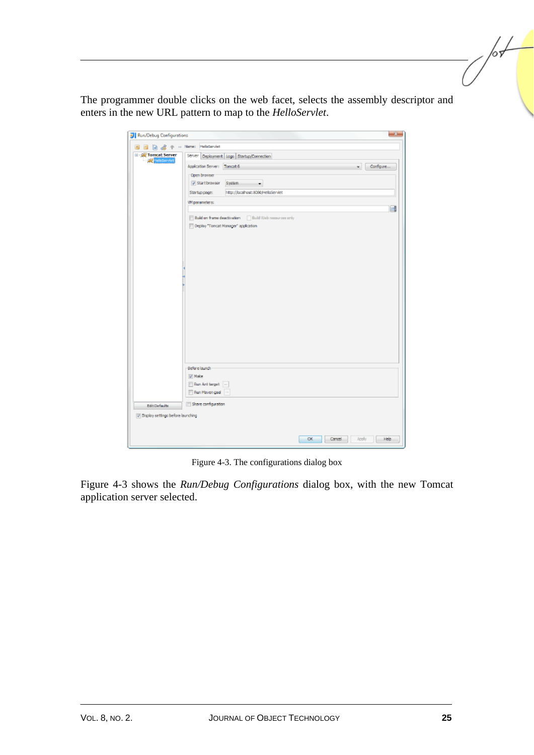The programmer double clicks on the web facet, selects the assembly descriptor and enters in the new URL pattern to map to the *HelloServlet*.

| <b>J</b> Run/Debug Configurations    | $\mathbf{z}$                                                                           |
|--------------------------------------|----------------------------------------------------------------------------------------|
| 图 图 函 a 中 > Name: HelbServlet        |                                                                                        |
| E-gig Tomcat Server<br>- SaleSarviet | Server Deployment Logs Startup/Connection<br>Application Server: Tomcat 6<br>Configure |
|                                      | ×.                                                                                     |
|                                      | Open browser<br>V Start browser<br>System<br>۰                                         |
|                                      | http://localhost:8080/HelloServlet<br>Startup page:                                    |
|                                      | VM parametera:                                                                         |
|                                      | 國                                                                                      |
|                                      | Build on frame deactivation [ Build Web resources only                                 |
|                                      | Deploy "Toncat Manager" application                                                    |
|                                      |                                                                                        |
|                                      |                                                                                        |
|                                      |                                                                                        |
|                                      |                                                                                        |
|                                      |                                                                                        |
|                                      |                                                                                        |
|                                      |                                                                                        |
|                                      |                                                                                        |
|                                      |                                                                                        |
|                                      |                                                                                        |
|                                      |                                                                                        |
|                                      |                                                                                        |
|                                      |                                                                                        |
|                                      |                                                                                        |
|                                      |                                                                                        |
|                                      | Before launch                                                                          |
|                                      | V Neke                                                                                 |
|                                      | Run Ant target                                                                         |
|                                      | Run Maven goal                                                                         |
| Edit Defaults                        | Share configuration                                                                    |
| V Display settings before launching  |                                                                                        |
|                                      |                                                                                        |
|                                      |                                                                                        |
|                                      | OK.<br>Cancel<br>Apply<br>Help                                                         |
|                                      |                                                                                        |

Figure 4-3. The configurations dialog box

Figure 4-3 shows the *Run/Debug Configurations* dialog box, with the new Tomcat application server selected.

for-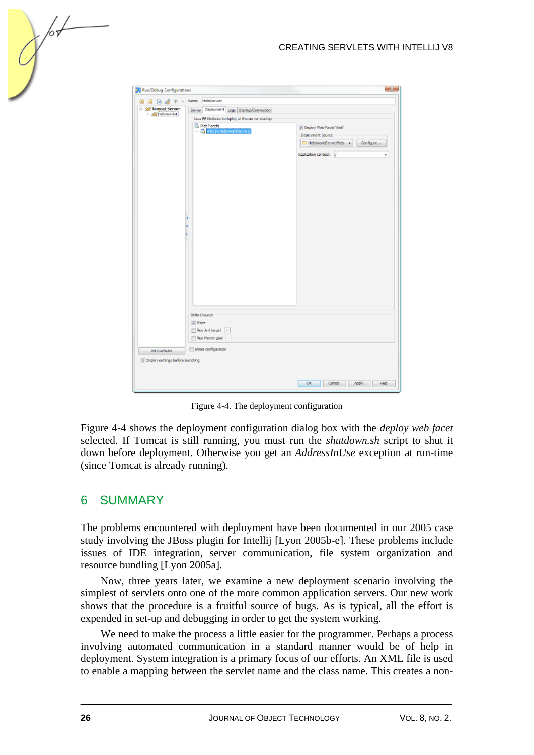| $\mathbf{t}$                                         | 日 日 d + > Nene: HelpServlet                                                                  |                                                                                                                    |  |  |  |
|------------------------------------------------------|----------------------------------------------------------------------------------------------|--------------------------------------------------------------------------------------------------------------------|--|--|--|
| E-gig Tomcat Server<br>HelbServiet                   | Server Deployment Logs Startup/Connection<br>Java EE Modules to deploy at the server startup |                                                                                                                    |  |  |  |
|                                                      | Web Facets<br>Web (in HelloWorldServlet)                                                     | V Deploy Web Pacet Web<br>-Deployment Source:<br>HeloWorldservletWeb -<br>Configure<br>Application context: /<br>٠ |  |  |  |
|                                                      | Before launch<br>V Nake<br>Run Ant target<br>Run Maven goal                                  |                                                                                                                    |  |  |  |
| Edit Defaults<br>V Display settings before launching | Share configuration                                                                          |                                                                                                                    |  |  |  |
|                                                      |                                                                                              |                                                                                                                    |  |  |  |

Figure 4-4. The deployment configuration

Figure 4-4 shows the deployment configuration dialog box with the *deploy web facet* selected. If Tomcat is still running, you must run the *shutdown.sh* script to shut it down before deployment. Otherwise you get an *AddressInUse* exception at run-time (since Tomcat is already running).

### 6 SUMMARY

∕०ऽ

The problems encountered with deployment have been documented in our 2005 case study involving the JBoss plugin for Intellij [Lyon 2005b-e]. These problems include issues of IDE integration, server communication, file system organization and resource bundling [Lyon 2005a].

Now, three years later, we examine a new deployment scenario involving the simplest of servlets onto one of the more common application servers. Our new work shows that the procedure is a fruitful source of bugs. As is typical, all the effort is expended in set-up and debugging in order to get the system working.

We need to make the process a little easier for the programmer. Perhaps a process involving automated communication in a standard manner would be of help in deployment. System integration is a primary focus of our efforts. An XML file is used to enable a mapping between the servlet name and the class name. This creates a non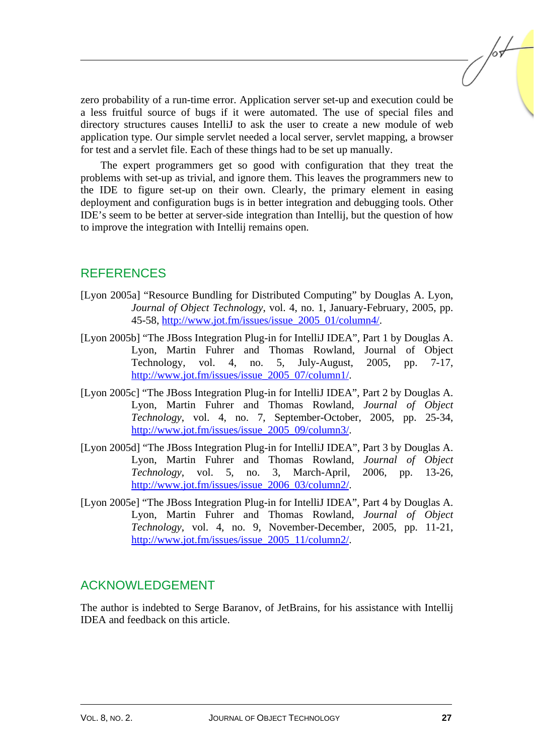zero probability of a run-time error. Application server set-up and execution could be a less fruitful source of bugs if it were automated. The use of special files and directory structures causes IntelliJ to ask the user to create a new module of web application type. Our simple servlet needed a local server, servlet mapping, a browser for test and a servlet file. Each of these things had to be set up manually.

The expert programmers get so good with configuration that they treat the problems with set-up as trivial, and ignore them. This leaves the programmers new to the IDE to figure set-up on their own. Clearly, the primary element in easing deployment and configuration bugs is in better integration and debugging tools. Other IDE's seem to be better at server-side integration than Intellij, but the question of how to improve the integration with Intellij remains open.

## REFERENCES

- [Lyon 2005a] "Resource Bundling for Distributed Computing" by Douglas A. Lyon, *Journal of Object Technology*, vol. 4, no. 1, January-February, 2005, pp. 45-58, http://www.jot.fm/issues/issue\_2005\_01/column4/.
- [Lyon 2005b] "The JBoss Integration Plug-in for IntelliJ IDEA", Part 1 by Douglas A. Lyon, Martin Fuhrer and Thomas Rowland, Journal of Object Technology, vol. 4, no. 5, July-August, 2005, pp. 7-17, http://www.jot.fm/issues/issue\_2005\_07/column1/.
- [Lyon 2005c] "The JBoss Integration Plug-in for IntelliJ IDEA", Part 2 by Douglas A. Lyon, Martin Fuhrer and Thomas Rowland, *Journal of Object Technology*, vol. 4, no. 7, September-October, 2005, pp. 25-34, http://www.jot.fm/issues/issue\_2005\_09/column3/.
- [Lyon 2005d] "The JBoss Integration Plug-in for IntelliJ IDEA", Part 3 by Douglas A. Lyon, Martin Fuhrer and Thomas Rowland, *Journal of Object Technology*, vol. 5, no. 3, March-April, 2006, pp. 13-26, http://www.jot.fm/issues/issue\_2006\_03/column2/.
- [Lyon 2005e] "The JBoss Integration Plug-in for IntelliJ IDEA", Part 4 by Douglas A. Lyon, Martin Fuhrer and Thomas Rowland, *Journal of Object Technology*, vol. 4, no. 9, November-December, 2005, pp. 11-21, http://www.jot.fm/issues/issue\_2005\_11/column2/.

## ACKNOWLEDGEMENT

The author is indebted to Serge Baranov, of JetBrains, for his assistance with Intellij IDEA and feedback on this article.